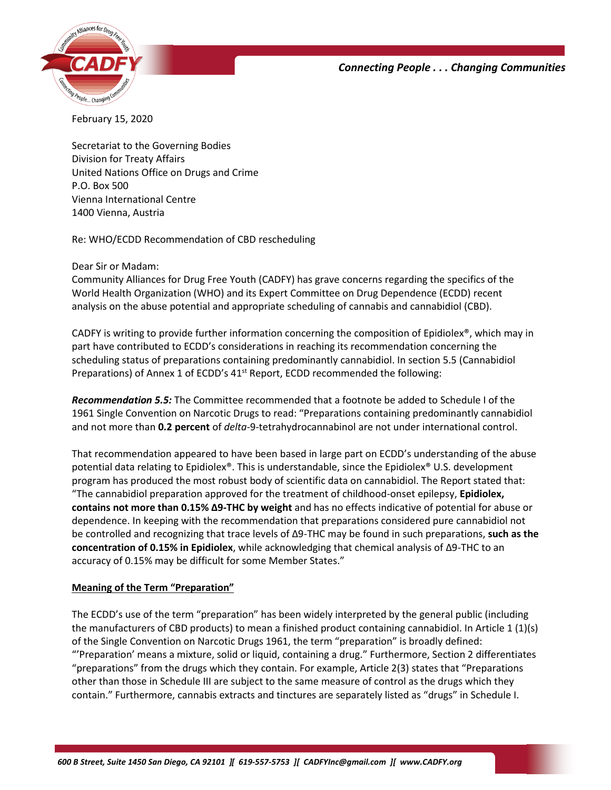

*Connecting People . . . Changing Communities* 

February 15, 2020

Secretariat to the Governing Bodies Division for Treaty Affairs United Nations Office on Drugs and Crime P.O. Box 500 Vienna International Centre 1400 Vienna, Austria

Re: WHO/ECDD Recommendation of CBD rescheduling

Dear Sir or Madam:

Community Alliances for Drug Free Youth (CADFY) has grave concerns regarding the specifics of the World Health Organization (WHO) and its Expert Committee on Drug Dependence (ECDD) recent analysis on the abuse potential and appropriate scheduling of cannabis and cannabidiol (CBD).

CADFY is writing to provide further information concerning the composition of Epidiolex®, which may in part have contributed to ECDD's considerations in reaching its recommendation concerning the scheduling status of preparations containing predominantly cannabidiol. In section 5.5 (Cannabidiol Preparations) of Annex 1 of ECDD's 41<sup>st</sup> Report, ECDD recommended the following:

*Recommendation 5.5:* The Committee recommended that a footnote be added to Schedule I of the 1961 Single Convention on Narcotic Drugs to read: "Preparations containing predominantly cannabidiol and not more than **0.2 percent** of *delta*-9-tetrahydrocannabinol are not under international control.

That recommendation appeared to have been based in large part on ECDD's understanding of the abuse potential data relating to Epidiolex®. This is understandable, since the Epidiolex® U.S. development program has produced the most robust body of scientific data on cannabidiol. The Report stated that: "The cannabidiol preparation approved for the treatment of childhood-onset epilepsy, **Epidiolex, contains not more than 0.15% Δ9-THC by weight** and has no effects indicative of potential for abuse or dependence. In keeping with the recommendation that preparations considered pure cannabidiol not be controlled and recognizing that trace levels of Δ9-THC may be found in such preparations, **such as the concentration of 0.15% in Epidiolex**, while acknowledging that chemical analysis of Δ9-THC to an accuracy of 0.15% may be difficult for some Member States."

## **Meaning of the Term "Preparation"**

The ECDD's use of the term "preparation" has been widely interpreted by the general public (including the manufacturers of CBD products) to mean a finished product containing cannabidiol. In Article 1 (1)(s) of the Single Convention on Narcotic Drugs 1961, the term "preparation" is broadly defined: "'Preparation' means a mixture, solid or liquid, containing a drug." Furthermore, Section 2 differentiates "preparations" from the drugs which they contain. For example, Article 2(3) states that "Preparations other than those in Schedule III are subject to the same measure of control as the drugs which they contain." Furthermore, cannabis extracts and tinctures are separately listed as "drugs" in Schedule I.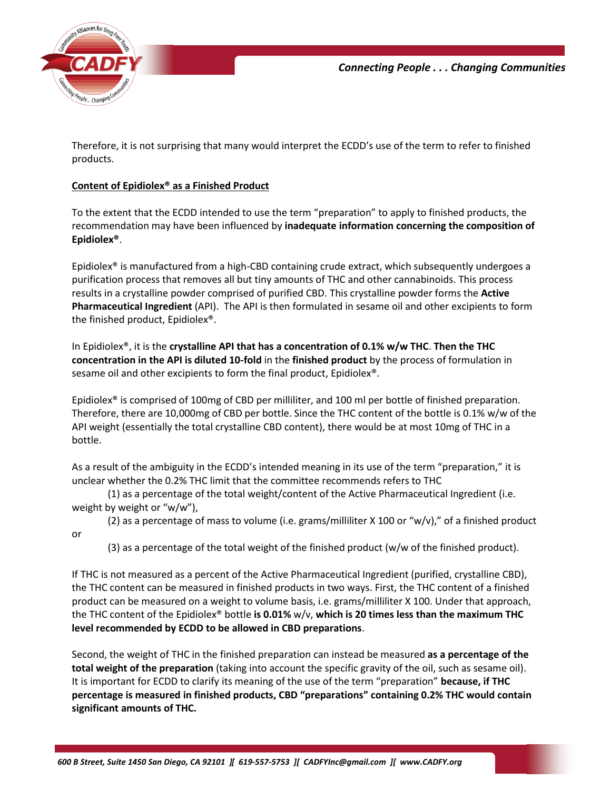

Therefore, it is not surprising that many would interpret the ECDD's use of the term to refer to finished products.

## **Content of Epidiolex® as a Finished Product**

To the extent that the ECDD intended to use the term "preparation" to apply to finished products, the recommendation may have been influenced by **inadequate information concerning the composition of Epidiolex®**.

Epidiolex® is manufactured from a high-CBD containing crude extract, which subsequently undergoes a purification process that removes all but tiny amounts of THC and other cannabinoids. This process results in a crystalline powder comprised of purified CBD. This crystalline powder forms the **Active Pharmaceutical Ingredient** (API). The API is then formulated in sesame oil and other excipients to form the finished product, Epidiolex®.

In Epidiolex®, it is the **crystalline API that has a concentration of 0.1% w/w THC**. **Then the THC concentration in the API is diluted 10-fold** in the **finished product** by the process of formulation in sesame oil and other excipients to form the final product, Epidiolex®.

Epidiolex® is comprised of 100mg of CBD per milliliter, and 100 ml per bottle of finished preparation. Therefore, there are 10,000mg of CBD per bottle. Since the THC content of the bottle is 0.1% w/w of the API weight (essentially the total crystalline CBD content), there would be at most 10mg of THC in a bottle.

As a result of the ambiguity in the ECDD's intended meaning in its use of the term "preparation," it is unclear whether the 0.2% THC limit that the committee recommends refers to THC

(1) as a percentage of the total weight/content of the Active Pharmaceutical Ingredient (i.e. weight by weight or "w/w"),

(2) as a percentage of mass to volume (i.e. grams/milliliter X 100 or "w/v)," of a finished product or

(3) as a percentage of the total weight of the finished product (w/w of the finished product).

If THC is not measured as a percent of the Active Pharmaceutical Ingredient (purified, crystalline CBD), the THC content can be measured in finished products in two ways. First, the THC content of a finished product can be measured on a weight to volume basis, i.e. grams/milliliter X 100. Under that approach, the THC content of the Epidiolex® bottle **is 0.01%** w/v, **which is 20 times less than the maximum THC level recommended by ECDD to be allowed in CBD preparations**.

Second, the weight of THC in the finished preparation can instead be measured **as a percentage of the total weight of the preparation** (taking into account the specific gravity of the oil, such as sesame oil). It is important for ECDD to clarify its meaning of the use of the term "preparation" **because, if THC percentage is measured in finished products, CBD "preparations" containing 0.2% THC would contain significant amounts of THC.**